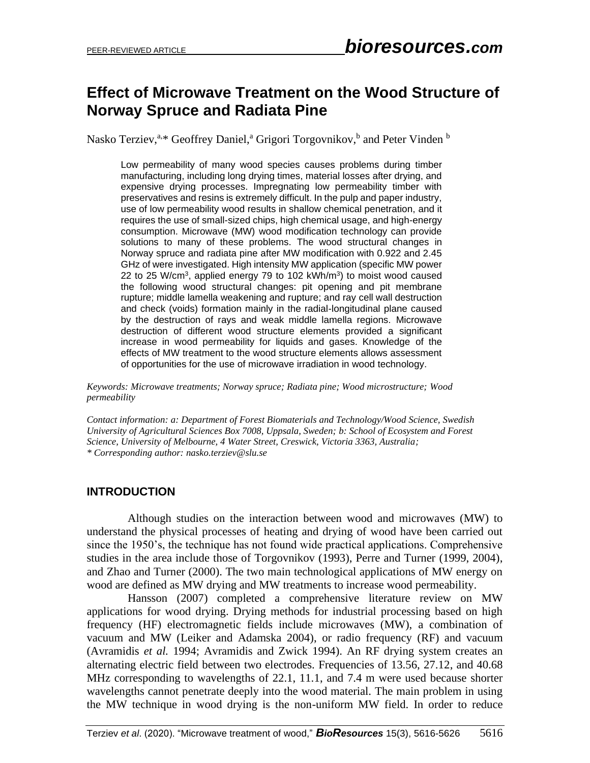# **Effect of Microwave Treatment on the Wood Structure of Norway Spruce and Radiata Pine**

Nasko Terziev,<sup>a,\*</sup> Geoffrey Daniel,<sup>a</sup> Grigori Torgovnikov,<sup>b</sup> and Peter Vinden <sup>b</sup>

Low permeability of many wood species causes problems during timber manufacturing, including long drying times, material losses after drying, and expensive drying processes. Impregnating low permeability timber with preservatives and resins is extremely difficult. In the pulp and paper industry, use of low permeability wood results in shallow chemical penetration, and it requires the use of small-sized chips, high chemical usage, and high-energy consumption. Microwave (MW) wood modification technology can provide solutions to many of these problems. The wood structural changes in Norway spruce and radiata pine after MW modification with 0.922 and 2.45 GHz of were investigated. High intensity MW application (specific MW power 22 to 25 W/cm<sup>3</sup>, applied energy 79 to 102 kWh/m<sup>3</sup>) to moist wood caused the following wood structural changes: pit opening and pit membrane rupture; middle lamella weakening and rupture; and ray cell wall destruction and check (voids) formation mainly in the radial-longitudinal plane caused by the destruction of rays and weak middle lamella regions. Microwave destruction of different wood structure elements provided a significant increase in wood permeability for liquids and gases. Knowledge of the effects of MW treatment to the wood structure elements allows assessment of opportunities for the use of microwave irradiation in wood technology.

*Keywords: Microwave treatments; Norway spruce; Radiata pine; Wood microstructure; Wood permeability*

*Contact information: a: Department of Forest Biomaterials and Technology/Wood Science, Swedish University of Agricultural Sciences Box 7008, Uppsala, Sweden; b: School of Ecosystem and Forest Science, University of Melbourne, 4 Water Street, Creswick, Victoria 3363, Australia; \* Corresponding author: nasko.terziev@slu.se*

## **INTRODUCTION**

Although studies on the interaction between wood and microwaves (MW) to understand the physical processes of heating and drying of wood have been carried out since the 1950's, the technique has not found wide practical applications. Comprehensive studies in the area include those of Torgovnikov (1993), Perre and Turner (1999, 2004), and Zhao and Turner (2000). The two main technological applications of MW energy on wood are defined as MW drying and MW treatments to increase wood permeability.

Hansson (2007) completed a comprehensive literature review on MW applications for wood drying. Drying methods for industrial processing based on high frequency (HF) electromagnetic fields include microwaves (MW), a combination of vacuum and MW (Leiker and Adamska 2004), or radio frequency (RF) and vacuum (Avramidis *et al.* 1994; Avramidis and Zwick 1994). An RF drying system creates an alternating electric field between two electrodes. Frequencies of 13.56, 27.12, and 40.68 MHz corresponding to wavelengths of 22.1, 11.1, and 7.4 m were used because shorter wavelengths cannot penetrate deeply into the wood material. The main problem in using the MW technique in wood drying is the non-uniform MW field. In order to reduce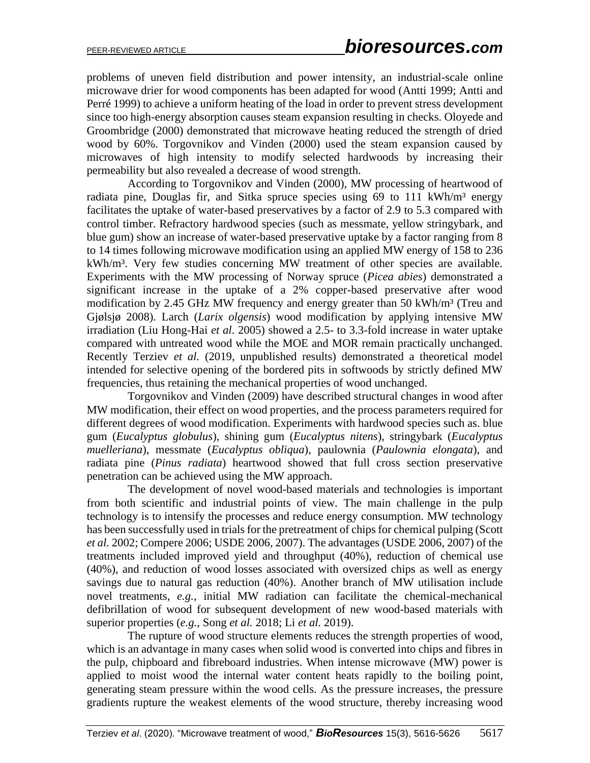problems of uneven field distribution and power intensity, an industrial-scale online microwave drier for wood components has been adapted for wood (Antti 1999; Antti and Perré 1999) to achieve a uniform heating of the load in order to prevent stress development since too high-energy absorption causes steam expansion resulting in checks. Oloyede and Groombridge (2000) demonstrated that microwave heating reduced the strength of dried wood by 60%. Torgovnikov and Vinden (2000) used the steam expansion caused by microwaves of high intensity to modify selected hardwoods by increasing their permeability but also revealed a decrease of wood strength.

According to Torgovnikov and Vinden (2000), MW processing of heartwood of radiata pine, Douglas fir, and Sitka spruce species using  $69$  to 111 kWh/m<sup>3</sup> energy facilitates the uptake of water-based preservatives by a factor of 2.9 to 5.3 compared with control timber. Refractory hardwood species (such as messmate, yellow stringybark, and blue gum) show an increase of water-based preservative uptake by a factor ranging from 8 to 14 times following microwave modification using an applied MW energy of 158 to 236 kWh/m<sup>3</sup>. Very few studies concerning MW treatment of other species are available. Experiments with the MW processing of Norway spruce (*Picea abies*) demonstrated a significant increase in the uptake of a 2% copper-based preservative after wood modification by 2.45 GHz MW frequency and energy greater than 50 kWh/m<sup>3</sup> (Treu and Gjølsjø 2008). Larch (*Larix olgensis*) wood modification by applying intensive MW irradiation (Liu Hong-Hai *et al*. 2005) showed a 2.5- to 3.3-fold increase in water uptake compared with untreated wood while the MOE and MOR remain practically unchanged. Recently Terziev *et al.* (2019, unpublished results) demonstrated a theoretical model intended for selective opening of the bordered pits in softwoods by strictly defined MW frequencies, thus retaining the mechanical properties of wood unchanged.

Torgovnikov and Vinden (2009) have described structural changes in wood after MW modification, their effect on wood properties, and the process parameters required for different degrees of wood modification. Experiments with hardwood species such as. blue gum (*Eucalyptus globulus*), shining gum (*Eucalyptus nitens*), stringybark (*Eucalyptus muelleriana*), messmate (*Eucalyptus obliqua*), paulownia (*Paulownia elongata*), and radiata pine (*Pinus radiata*) heartwood showed that full cross section preservative penetration can be achieved using the MW approach.

The development of novel wood-based materials and technologies is important from both scientific and industrial points of view. The main challenge in the pulp technology is to intensify the processes and reduce energy consumption. MW technology has been successfully used in trials for the pretreatment of chips for chemical pulping (Scott *et al.* 2002; Compere 2006; USDE 2006, 2007). The advantages (USDE 2006, 2007) of the treatments included improved yield and throughput (40%), reduction of chemical use (40%), and reduction of wood losses associated with oversized chips as well as energy savings due to natural gas reduction (40%). Another branch of MW utilisation include novel treatments, *e.g.*, initial MW radiation can facilitate the chemical-mechanical defibrillation of wood for subsequent development of new wood-based materials with superior properties (*e.g.*, Song *et al.* 2018; Li *et al.* 2019).

The rupture of wood structure elements reduces the strength properties of wood, which is an advantage in many cases when solid wood is converted into chips and fibres in the pulp, chipboard and fibreboard industries. When intense microwave (MW) power is applied to moist wood the internal water content heats rapidly to the boiling point, generating steam pressure within the wood cells. As the pressure increases, the pressure gradients rupture the weakest elements of the wood structure, thereby increasing wood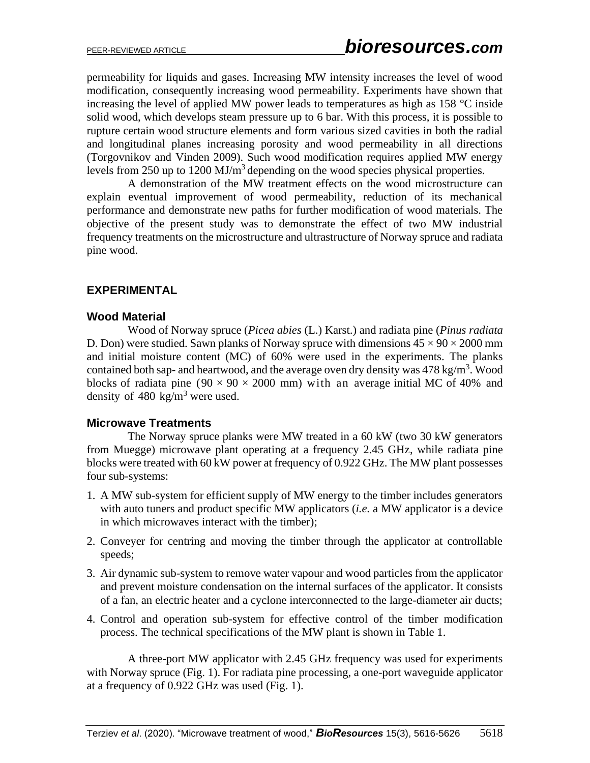permeability for liquids and gases. Increasing MW intensity increases the level of wood modification, consequently increasing wood permeability. Experiments have shown that increasing the level of applied MW power leads to temperatures as high as 158 °C inside solid wood, which develops steam pressure up to 6 bar. With this process, it is possible to rupture certain wood structure elements and form various sized cavities in both the radial and longitudinal planes increasing porosity and wood permeability in all directions (Torgovnikov and Vinden 2009). Such wood modification requires applied MW energy levels from 250 up to 1200 MJ/m<sup>3</sup> depending on the wood species physical properties.

A demonstration of the MW treatment effects on the wood microstructure can explain eventual improvement of wood permeability, reduction of its mechanical performance and demonstrate new paths for further modification of wood materials. The objective of the present study was to demonstrate the effect of two MW industrial frequency treatments on the microstructure and ultrastructure of Norway spruce and radiata pine wood.

# **EXPERIMENTAL**

## **Wood Material**

Wood of Norway spruce (*Picea abies* (L.) Karst.) and radiata pine (*Pinus radiata* D. Don) were studied. Sawn planks of Norway spruce with dimensions  $45 \times 90 \times 2000$  mm and initial moisture content (MC) of 60% were used in the experiments. The planks contained both sap- and heartwood, and the average oven dry density was  $478 \text{ kg/m}^3$ . Wood blocks of radiata pine  $(90 \times 90 \times 2000 \text{ mm})$  with an average initial MC of 40% and density of 480 kg/m<sup>3</sup> were used.

## **Microwave Treatments**

The Norway spruce planks were MW treated in a 60 kW (two 30 kW generators from Muegge) microwave plant operating at a frequency 2.45 GHz, while radiata pine blocks were treated with 60 kW power at frequency of 0.922 GHz. The MW plant possesses four sub-systems:

- 1. A MW sub-system for efficient supply of MW energy to the timber includes generators with auto tuners and product specific MW applicators (*i.e.* a MW applicator is a device in which microwaves interact with the timber);
- 2. Conveyer for centring and moving the timber through the applicator at controllable speeds;
- 3. Air dynamic sub-system to remove water vapour and wood particles from the applicator and prevent moisture condensation on the internal surfaces of the applicator. It consists of a fan, an electric heater and a cyclone interconnected to the large-diameter air ducts;
- 4. Control and operation sub-system for effective control of the timber modification process. The technical specifications of the MW plant is shown in Table 1.

A three-port MW applicator with 2.45 GHz frequency was used for experiments with Norway spruce (Fig. 1). For radiata pine processing, a one-port waveguide applicator at a frequency of 0.922 GHz was used (Fig. 1).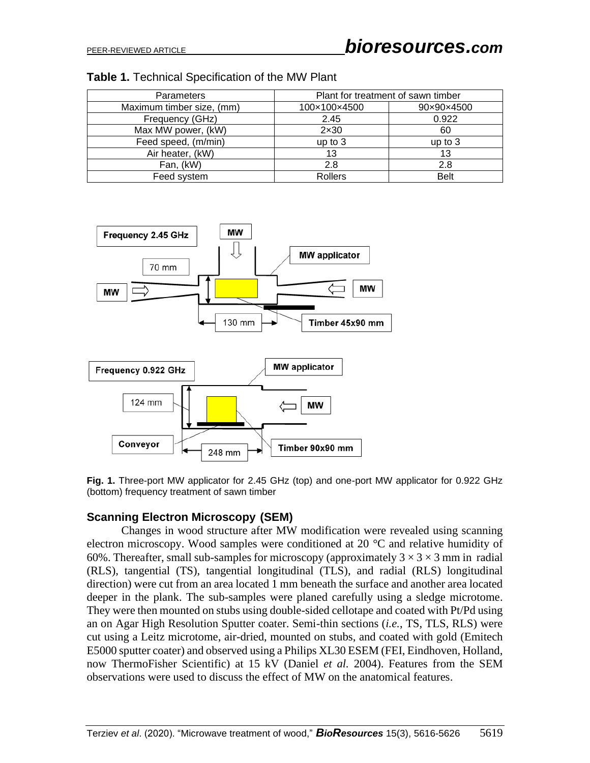| <b>Parameters</b>         | Plant for treatment of sawn timber |             |
|---------------------------|------------------------------------|-------------|
| Maximum timber size, (mm) | 100×100×4500                       | 90×90×4500  |
| Frequency (GHz)           | 2.45                               | 0.922       |
| Max MW power, (kW)        | $2\times30$                        | 60          |
| Feed speed, (m/min)       | up to 3                            | up to $3$   |
| Air heater, (kW)          | 13                                 | 13          |
| Fan, (kW)                 | 2.8                                | 2.8         |
| Feed system               | <b>Rollers</b>                     | <b>Belt</b> |





**Fig. 1.** Three-port MW applicator for 2.45 GHz (top) and one-port MW applicator for 0.922 GHz (bottom) frequency treatment of sawn timber

#### **Scanning Electron Microscopy (SEM)**

Changes in wood structure after MW modification were revealed using scanning electron microscopy. Wood samples were conditioned at 20 °C and relative humidity of 60%. Thereafter, small sub-samples for microscopy (approximately  $3 \times 3 \times 3$  mm in radial (RLS), tangential (TS), tangential longitudinal (TLS), and radial (RLS) longitudinal direction) were cut from an area located 1 mm beneath the surface and another area located deeper in the plank. The sub-samples were planed carefully using a sledge microtome. They were then mounted on stubs using double-sided cellotape and coated with Pt/Pd using an on Agar High Resolution Sputter coater. Semi-thin sections (*i.e.*, TS, TLS, RLS) were cut using a Leitz microtome, air-dried, mounted on stubs, and coated with gold (Emitech E5000 sputter coater) and observed using a Philips XL30 ESEM (FEI, Eindhoven, Holland, now ThermoFisher Scientific) at 15 kV (Daniel *et al.* 2004). Features from the SEM observations were used to discuss the effect of MW on the anatomical features.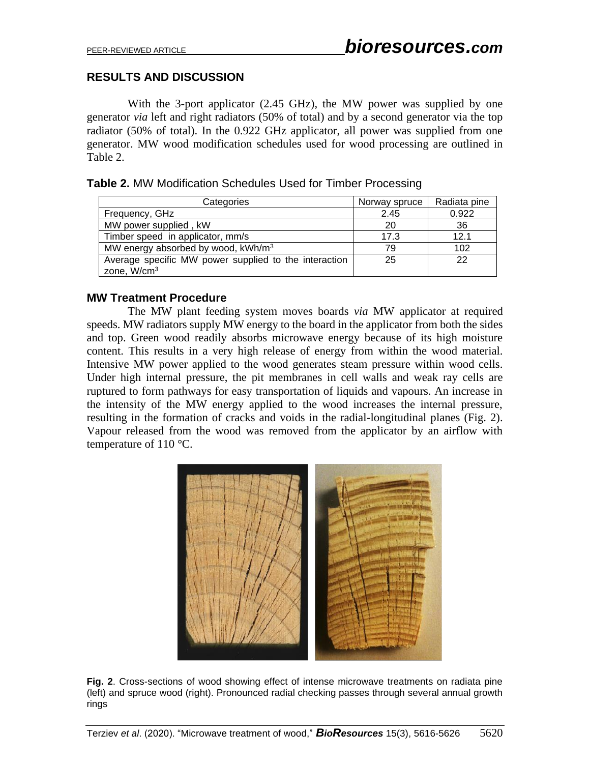## **RESULTS AND DISCUSSION**

With the 3-port applicator (2.45 GHz), the MW power was supplied by one generator *via* left and right radiators (50% of total) and by a second generator via the top radiator (50% of total). In the 0.922 GHz applicator, all power was supplied from one generator. MW wood modification schedules used for wood processing are outlined in Table 2.

| Categories                                            | Norway spruce | Radiata pine |
|-------------------------------------------------------|---------------|--------------|
| Frequency, GHz                                        | 2.45          | 0.922        |
| MW power supplied, kW                                 | 20            | 36           |
| Timber speed in applicator, mm/s                      | 17.3          | 12.1         |
| MW energy absorbed by wood, kWh/m <sup>3</sup>        | 79            | 102          |
| Average specific MW power supplied to the interaction | 25            | 22           |
| zone, W/cm <sup>3</sup>                               |               |              |

#### **Table 2.** MW Modification Schedules Used for Timber Processing

#### **MW Treatment Procedure**

The MW plant feeding system moves boards *via* MW applicator at required speeds. MW radiators supply MW energy to the board in the applicator from both the sides and top. Green wood readily absorbs microwave energy because of its high moisture content. This results in a very high release of energy from within the wood material. Intensive MW power applied to the wood generates steam pressure within wood cells. Under high internal pressure, the pit membranes in cell walls and weak ray cells are ruptured to form pathways for easy transportation of liquids and vapours. An increase in the intensity of the MW energy applied to the wood increases the internal pressure, resulting in the formation of cracks and voids in the radial-longitudinal planes (Fig. 2). Vapour released from the wood was removed from the applicator by an airflow with temperature of 110 °C.



**Fig. 2**. Cross-sections of wood showing effect of intense microwave treatments on radiata pine (left) and spruce wood (right). Pronounced radial checking passes through several annual growth rings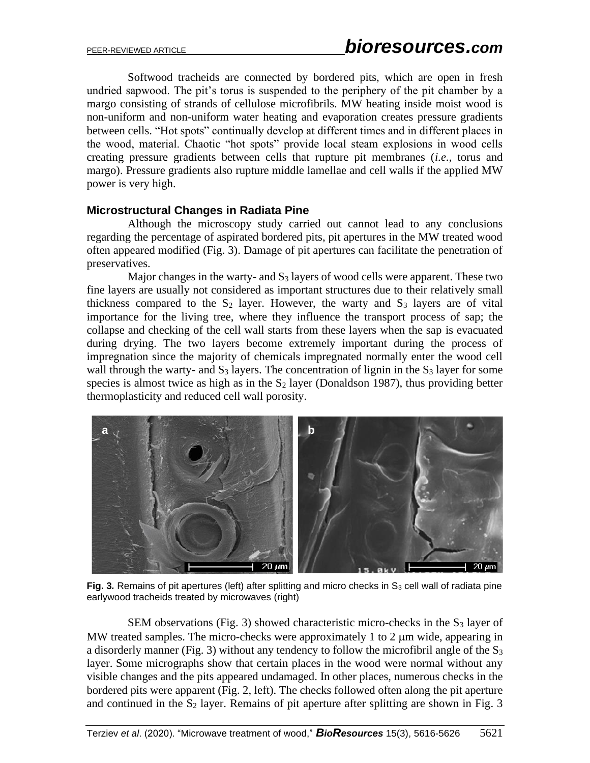Softwood tracheids are connected by bordered pits, which are open in fresh undried sapwood. The pit's torus is suspended to the periphery of the pit chamber by a margo consisting of strands of cellulose microfibrils. MW heating inside moist wood is non-uniform and non-uniform water heating and evaporation creates pressure gradients between cells. "Hot spots" continually develop at different times and in different places in the wood, material. Chaotic "hot spots" provide local steam explosions in wood cells creating pressure gradients between cells that rupture pit membranes (*i.e.*, torus and margo). Pressure gradients also rupture middle lamellae and cell walls if the applied MW power is very high.

#### **Microstructural Changes in Radiata Pine**

Although the microscopy study carried out cannot lead to any conclusions regarding the percentage of aspirated bordered pits, pit apertures in the MW treated wood often appeared modified (Fig. 3). Damage of pit apertures can facilitate the penetration of preservatives.

Major changes in the warty- and  $S_3$  layers of wood cells were apparent. These two fine layers are usually not considered as important structures due to their relatively small thickness compared to the  $S_2$  layer. However, the warty and  $S_3$  layers are of vital importance for the living tree, where they influence the transport process of sap; the collapse and checking of the cell wall starts from these layers when the sap is evacuated during drying. The two layers become extremely important during the process of impregnation since the majority of chemicals impregnated normally enter the wood cell wall through the warty- and  $S_3$  layers. The concentration of lignin in the  $S_3$  layer for some species is almost twice as high as in the  $S_2$  layer (Donaldson 1987), thus providing better thermoplasticity and reduced cell wall porosity.



**Fig. 3.** Remains of pit apertures (left) after splitting and micro checks in  $S_3$  cell wall of radiata pine earlywood tracheids treated by microwaves (right)

SEM observations (Fig. 3) showed characteristic micro-checks in the  $S_3$  layer of MW treated samples. The micro-checks were approximately 1 to 2  $\mu$ m wide, appearing in a disorderly manner (Fig. 3) without any tendency to follow the microfibril angle of the  $S_3$ layer. Some micrographs show that certain places in the wood were normal without any visible changes and the pits appeared undamaged. In other places, numerous checks in the bordered pits were apparent (Fig. 2, left). The checks followed often along the pit aperture and continued in the  $S_2$  layer. Remains of pit aperture after splitting are shown in Fig. 3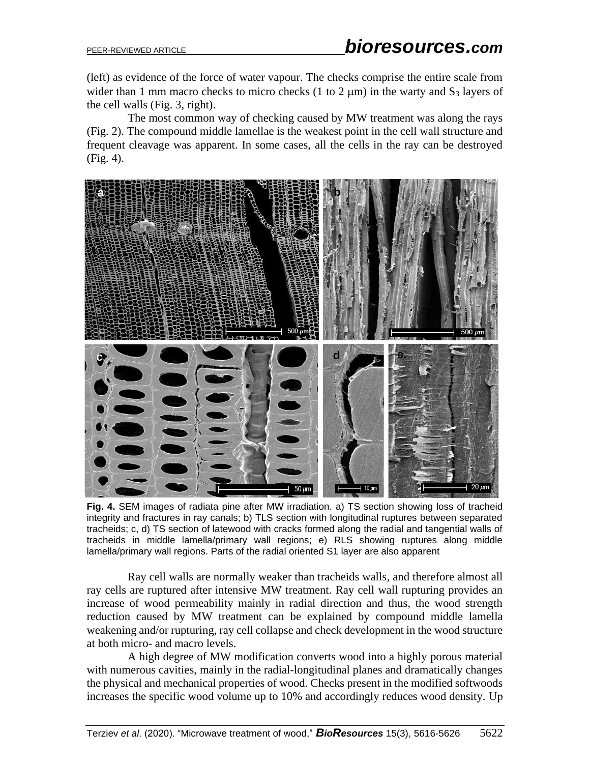(left) as evidence of the force of water vapour. The checks comprise the entire scale from wider than 1 mm macro checks to micro checks (1 to 2  $\mu$ m) in the warty and S<sub>3</sub> layers of the cell walls (Fig. 3, right).

The most common way of checking caused by MW treatment was along the rays (Fig. 2). The compound middle lamellae is the weakest point in the cell wall structure and frequent cleavage was apparent. In some cases, all the cells in the ray can be destroyed (Fig. 4).



**Fig. 4.** SEM images of radiata pine after MW irradiation. a) TS section showing loss of tracheid integrity and fractures in ray canals; b) TLS section with longitudinal ruptures between separated tracheids; c, d) TS section of latewood with cracks formed along the radial and tangential walls of tracheids in middle lamella/primary wall regions; e) RLS showing ruptures along middle lamella/primary wall regions. Parts of the radial oriented S1 layer are also apparent

Ray cell walls are normally weaker than tracheids walls, and therefore almost all ray cells are ruptured after intensive MW treatment. Ray cell wall rupturing provides an increase of wood permeability mainly in radial direction and thus, the wood strength reduction caused by MW treatment can be explained by compound middle lamella weakening and/or rupturing, ray cell collapse and check development in the wood structure at both micro- and macro levels.

A high degree of MW modification converts wood into a highly porous material with numerous cavities, mainly in the radial-longitudinal planes and dramatically changes the physical and mechanical properties of wood. Checks present in the modified softwoods increases the specific wood volume up to 10% and accordingly reduces wood density. Up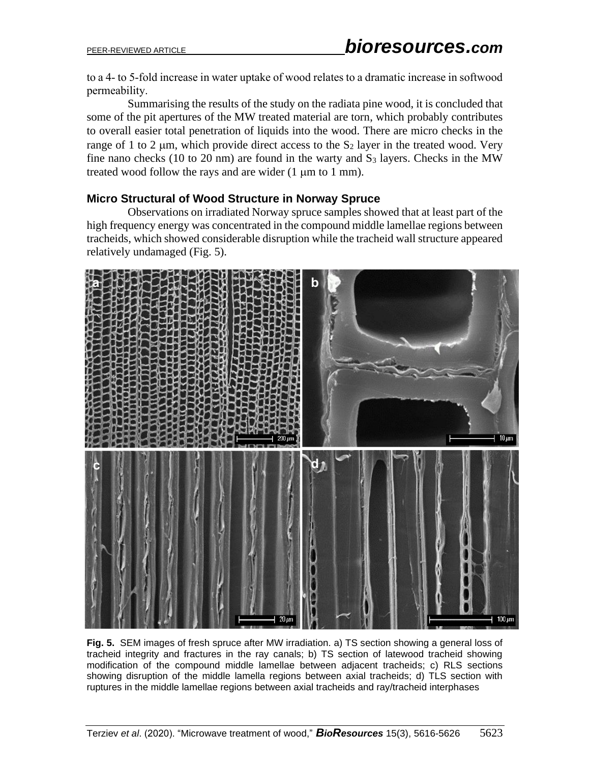to a 4- to 5-fold increase in water uptake of wood relates to a dramatic increase in softwood permeability.

Summarising the results of the study on the radiata pine wood, it is concluded that some of the pit apertures of the MW treated material are torn, which probably contributes to overall easier total penetration of liquids into the wood. There are micro checks in the range of 1 to 2  $\mu$ m, which provide direct access to the S<sub>2</sub> layer in the treated wood. Very fine nano checks (10 to 20 nm) are found in the warty and  $S_3$  layers. Checks in the MW treated wood follow the rays and are wider  $(1 \mu m)$  to 1 mm).

# **Micro Structural of Wood Structure in Norway Spruce**

Observations on irradiated Norway spruce samples showed that at least part of the high frequency energy was concentrated in the compound middle lamellae regions between tracheids, which showed considerable disruption while the tracheid wall structure appeared relatively undamaged (Fig. 5).



**Fig. 5.** SEM images of fresh spruce after MW irradiation. a) TS section showing a general loss of tracheid integrity and fractures in the ray canals; b) TS section of latewood tracheid showing modification of the compound middle lamellae between adjacent tracheids; c) RLS sections showing disruption of the middle lamella regions between axial tracheids; d) TLS section with ruptures in the middle lamellae regions between axial tracheids and ray/tracheid interphases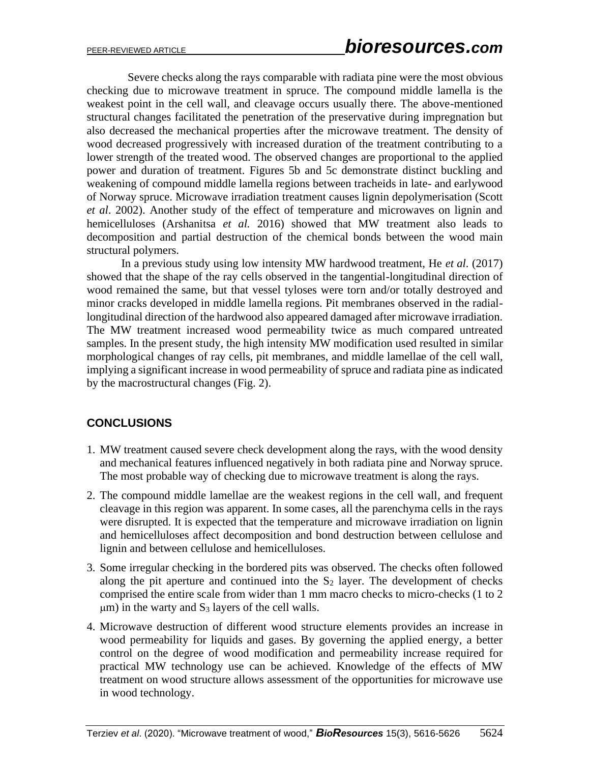Severe checks along the rays comparable with radiata pine were the most obvious checking due to microwave treatment in spruce. The compound middle lamella is the weakest point in the cell wall, and cleavage occurs usually there. The above-mentioned structural changes facilitated the penetration of the preservative during impregnation but also decreased the mechanical properties after the microwave treatment. The density of wood decreased progressively with increased duration of the treatment contributing to a lower strength of the treated wood. The observed changes are proportional to the applied power and duration of treatment. Figures 5b and 5c demonstrate distinct buckling and weakening of compound middle lamella regions between tracheids in late- and earlywood of Norway spruce. Microwave irradiation treatment causes lignin depolymerisation (Scott *et al*. 2002). Another study of the effect of temperature and microwaves on lignin and hemicelluloses (Arshanitsa *et al.* 2016) showed that MW treatment also leads to decomposition and partial destruction of the chemical bonds between the wood main structural polymers.

In a previous study using low intensity MW hardwood treatment, He *et al.* (2017) showed that the shape of the ray cells observed in the tangential-longitudinal direction of wood remained the same, but that vessel tyloses were torn and/or totally destroyed and minor cracks developed in middle lamella regions. Pit membranes observed in the radiallongitudinal direction of the hardwood also appeared damaged after microwave irradiation. The MW treatment increased wood permeability twice as much compared untreated samples. In the present study, the high intensity MW modification used resulted in similar morphological changes of ray cells, pit membranes, and middle lamellae of the cell wall, implying a significant increase in wood permeability of spruce and radiata pine as indicated by the macrostructural changes (Fig. 2).

# **CONCLUSIONS**

- 1. MW treatment caused severe check development along the rays, with the wood density and mechanical features influenced negatively in both radiata pine and Norway spruce. The most probable way of checking due to microwave treatment is along the rays.
- 2. The compound middle lamellae are the weakest regions in the cell wall, and frequent cleavage in this region was apparent. In some cases, all the parenchyma cells in the rays were disrupted. It is expected that the temperature and microwave irradiation on lignin and hemicelluloses affect decomposition and bond destruction between cellulose and lignin and between cellulose and hemicelluloses.
- 3. Some irregular checking in the bordered pits was observed. The checks often followed along the pit aperture and continued into the  $S_2$  layer. The development of checks comprised the entire scale from wider than 1 mm macro checks to micro-checks (1 to 2  $\mu$ m) in the warty and S<sub>3</sub> layers of the cell walls.
- 4. Microwave destruction of different wood structure elements provides an increase in wood permeability for liquids and gases. By governing the applied energy, a better control on the degree of wood modification and permeability increase required for practical MW technology use can be achieved. Knowledge of the effects of MW treatment on wood structure allows assessment of the opportunities for microwave use in wood technology.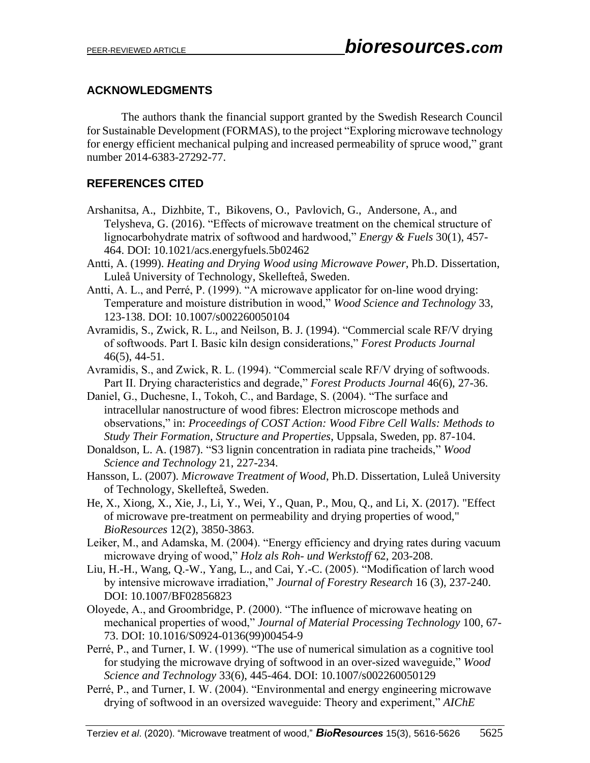## **ACKNOWLEDGMENTS**

The authors thank the financial support granted by the Swedish Research Council for Sustainable Development (FORMAS), to the project "Exploring microwave technology for energy efficient mechanical pulping and increased permeability of spruce wood," grant number 2014-6383-27292-77.

# **REFERENCES CITED**

- [Arshanitsa,](https://pubs-acs-org.ezp.lib.unimelb.edu.au/author/Arshanitsa%2C+Alexandr) A., [Dizhbite,](https://pubs-acs-org.ezp.lib.unimelb.edu.au/author/Dizhbite%2C+Tatiana) T., [Bikovens,](https://pubs-acs-org.ezp.lib.unimelb.edu.au/author/Bikovens%2C+Oskars) O., [Pavlovich,](https://pubs-acs-org.ezp.lib.unimelb.edu.au/author/Pavlovich%2C+Gunars) G., [Andersone,](https://pubs-acs-org.ezp.lib.unimelb.edu.au/author/Andersone%2C+Anna) A., and [Telysheva,](https://pubs-acs-org.ezp.lib.unimelb.edu.au/author/Telysheva%2C+Galina) G. (2016). "Effects of microwave treatment on the chemical structure of lignocarbohydrate matrix of softwood and hardwood," *Energy & Fuels* 30(1), 457- 464. DOI: 10.1021/acs.energyfuels.5b02462
- Antti, A. (1999). *Heating and Drying Wood using Microwave Power*, Ph.D. Dissertation, Luleå University of Technology, Skellefteå, Sweden.
- Antti, A. L., and Perré, P. (1999). "A microwave applicator for on-line wood drying: Temperature and moisture distribution in wood," *Wood Science and Technology* 33, 123-138. DOI: 10.1007/s002260050104
- Avramidis, S., Zwick, R. L., and Neilson, B. J. (1994). "Commercial scale RF/V drying of softwoods. Part I. Basic kiln design considerations," *Forest Products Journal*  46(5), 44-51.
- Avramidis, S., and Zwick, R. L. (1994). "Commercial scale RF/V drying of softwoods. Part II. Drying characteristics and degrade," *Forest Products Journal* 46(6), 27-36.
- Daniel, G., Duchesne, I., Tokoh, C., and Bardage, S. (2004). "The surface and intracellular nanostructure of wood fibres: Electron microscope methods and observations," in: *Proceedings of COST Action: Wood Fibre Cell Walls: Methods to Study Their Formation, Structure and Properties*, Uppsala, Sweden, pp. 87-104.
- Donaldson, L. A. (1987). "S3 lignin concentration in radiata pine tracheids," *Wood Science and Technology* 21, 227-234.
- Hansson, L. (2007). *Microwave Treatment of Wood*, Ph.D. Dissertation, Luleå University of Technology, Skellefteå, Sweden.
- He, X., Xiong, X., Xie, J., Li, Y., Wei, Y., Quan, P., Mou, Q., and Li, X. (2017). "Effect of microwave pre-treatment on permeability and drying properties of wood," *BioResources* 12(2), 3850-3863.
- Leiker, M., and Adamska, M. (2004). "Energy efficiency and drying rates during vacuum microwave drying of wood," *Holz als Roh- und Werkstoff* 62, 203-208.
- Liu, H.-H., Wang, Q.-W., Yang, L., and Cai, Y.-C. (2005). "Modification of larch wood by intensive microwave irradiation," *Journal of Forestry Research* 16 (3), 237-240. DOI: 10.1007/BF02856823
- Oloyede, A., and Groombridge, P. (2000). "The influence of microwave heating on mechanical properties of wood," *Journal of Material Processing Technology* 100, 67- 73. DOI: 10.1016/S0924-0136(99)00454-9
- Perré, P., and Turner, I. W. (1999). "The use of numerical simulation as a cognitive tool for studying the microwave drying of softwood in an over-sized waveguide," *Wood Science and Technology* 33(6), 445-464. DOI: 10.1007/s002260050129
- Perré, P., and Turner, I. W. (2004). "Environmental and energy engineering microwave drying of softwood in an oversized waveguide: Theory and experiment," *AIChE*